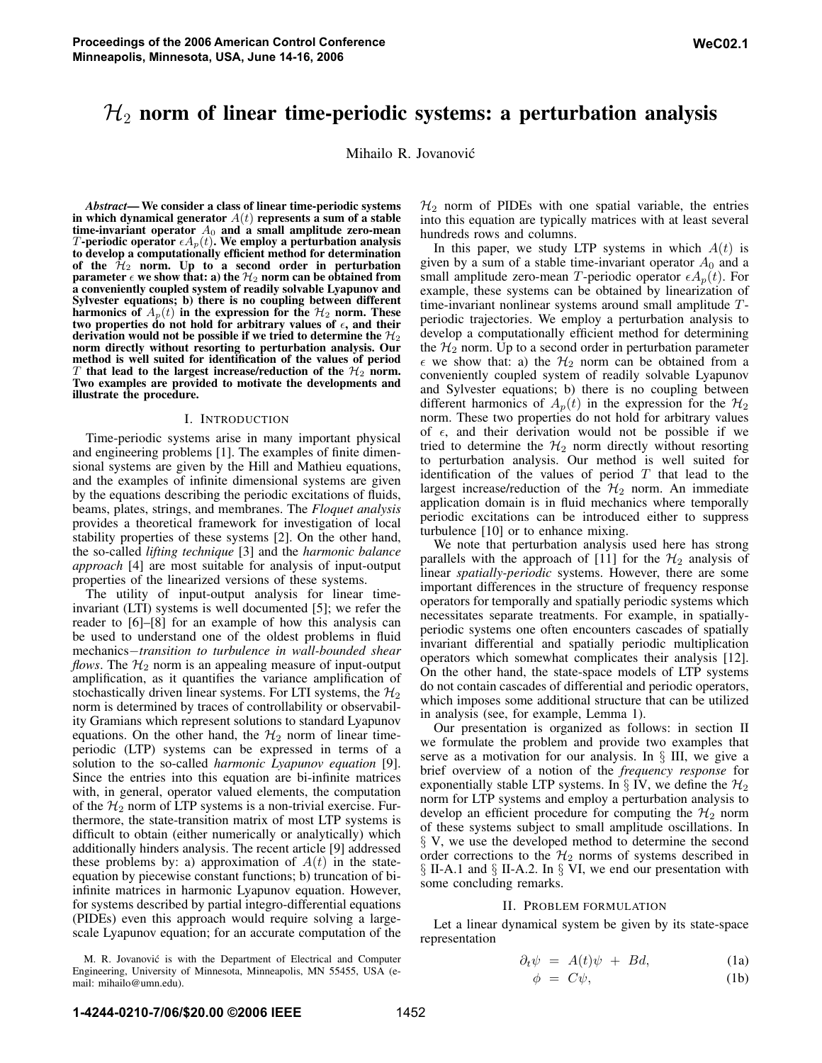Mihailo R. Jovanovic´

*Abstract*— We consider a class of linear time-periodic systems in which dynamical generator  $A(t)$  represents a sum of a stable time-invariant operator  $A_0$  and a small amplitude zero-mean  $T$ -periodic operator  $\epsilon A_{p}(t).$  We employ a perturbation analysis to develop a computationally efficient method for determination of the  $\mathcal{H}_2$  norm. Up to a second order in perturbation parameter  $\epsilon$  we show that: a) the  $\mathcal{H}_2$  norm can be obtained from a conveniently coupled system of readily solvable Lyapunov and Sylvester equations; b) there is no coupling between different harmonics of  $A_p(t)$  in the expression for the  $H_2$  norm. These two properties do not hold for arbitrary values of  $\epsilon$ , and their derivation would not be possible if we tried to determine the  $\mathcal{H}_2$ norm directly without resorting to perturbation analysis. Our method is well suited for identification of the values of period  $T$  that lead to the largest increase/reduction of the  $\mathcal{H}_2$  norm. Two examples are provided to motivate the developments and illustrate the procedure.

#### I. INTRODUCTION

Time-periodic systems arise in many important physical and engineering problems [1]. The examples of finite dimensional systems are given by the Hill and Mathieu equations, and the examples of infinite dimensional systems are given by the equations describing the periodic excitations of fluids, beams, plates, strings, and membranes. The *Floquet analysis* provides a theoretical framework for investigation of local stability properties of these systems [2]. On the other hand, the so-called *lifting technique* [3] and the *harmonic balance approach* [4] are most suitable for analysis of input-output properties of the linearized versions of these systems.

The utility of input-output analysis for linear timeinvariant (LTI) systems is well documented [5]; we refer the reader to [6]–[8] for an example of how this analysis can be used to understand one of the oldest problems in fluid mechanics−*transition to turbulence in wall-bounded shear flows*. The  $H_2$  norm is an appealing measure of input-output amplification, as it quantifies the variance amplification of stochastically driven linear systems. For LTI systems, the  $\mathcal{H}_2$ norm is determined by traces of controllability or observability Gramians which represent solutions to standard Lyapunov equations. On the other hand, the  $\mathcal{H}_2$  norm of linear timeperiodic (LTP) systems can be expressed in terms of a solution to the so-called *harmonic Lyapunov equation* [9]. Since the entries into this equation are bi-infinite matrices with, in general, operator valued elements, the computation of the  $\mathcal{H}_2$  norm of LTP systems is a non-trivial exercise. Furthermore, the state-transition matrix of most LTP systems is difficult to obtain (either numerically or analytically) which additionally hinders analysis. The recent article [9] addressed these problems by: a) approximation of  $A(t)$  in the stateequation by piecewise constant functions; b) truncation of biinfinite matrices in harmonic Lyapunov equation. However, for systems described by partial integro-differential equations (PIDEs) even this approach would require solving a largescale Lyapunov equation; for an accurate computation of the

 $H_2$  norm of PIDEs with one spatial variable, the entries into this equation are typically matrices with at least several hundreds rows and columns.

In this paper, we study LTP systems in which  $A(t)$  is given by a sum of a stable time-invariant operator  $A_0$  and a small amplitude zero-mean T-periodic operator  $\epsilon A_p(t)$ . For example, these systems can be obtained by linearization of time-invariant nonlinear systems around small amplitude Tperiodic trajectories. We employ a perturbation analysis to develop a computationally efficient method for determining the  $H_2$  norm. Up to a second order in perturbation parameter  $\epsilon$  we show that: a) the  $\mathcal{H}_2$  norm can be obtained from a conveniently coupled system of readily solvable Lyapunov and Sylvester equations; b) there is no coupling between different harmonics of  $A_p(t)$  in the expression for the  $\mathcal{H}_2$ norm. These two properties do not hold for arbitrary values of  $\epsilon$ , and their derivation would not be possible if we tried to determine the  $H_2$  norm directly without resorting to perturbation analysis. Our method is well suited for identification of the values of period  $T$  that lead to the largest increase/reduction of the  $H_2$  norm. An immediate application domain is in fluid mechanics where temporally periodic excitations can be introduced either to suppress turbulence [10] or to enhance mixing.

We note that perturbation analysis used here has strong parallels with the approach of [11] for the  $\mathcal{H}_2$  analysis of linear *spatially-periodic* systems. However, there are some important differences in the structure of frequency response operators for temporally and spatially periodic systems which necessitates separate treatments. For example, in spatiallyperiodic systems one often encounters cascades of spatially invariant differential and spatially periodic multiplication operators which somewhat complicates their analysis [12]. On the other hand, the state-space models of LTP systems do not contain cascades of differential and periodic operators, which imposes some additional structure that can be utilized in analysis (see, for example, Lemma 1).

Our presentation is organized as follows: in section II we formulate the problem and provide two examples that serve as a motivation for our analysis. In § III, we give a brief overview of a notion of the *frequency response* for exponentially stable LTP systems. In  $\S$  IV, we define the  $\mathcal{H}_2$ norm for LTP systems and employ a perturbation analysis to develop an efficient procedure for computing the  $\mathcal{H}_2$  norm of these systems subject to small amplitude oscillations. In § V, we use the developed method to determine the second order corrections to the  $H_2$  norms of systems described in § II-A.1 and § II-A.2. In § VI, we end our presentation with some concluding remarks.

#### II. PROBLEM FORMULATION

Let a linear dynamical system be given by its state-space representation

$$
\partial_t \psi = A(t)\psi + Bd, \tag{1a}
$$

$$
\phi = C\psi, \tag{1b}
$$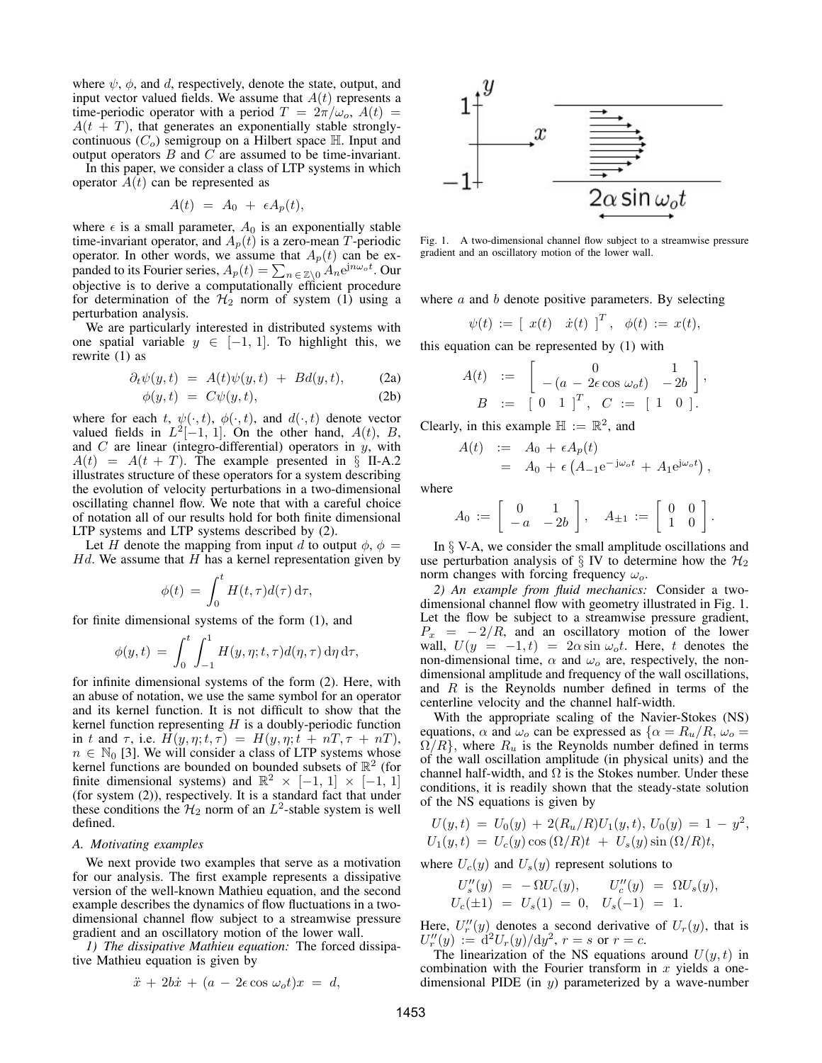where  $\psi$ ,  $\phi$ , and d, respectively, denote the state, output, and input vector valued fields. We assume that  $A(t)$  represents a time-periodic operator with a period  $T = 2\pi/\omega_o$ ,  $A(t) =$  $A(t + T)$ , that generates an exponentially stable stronglycontinuous  $(C_o)$  semigroup on a Hilbert space  $\mathbb H$ . Input and output operators  $B$  and  $C$  are assumed to be time-invariant.

In this paper, we consider a class of LTP systems in which operator  $A(t)$  can be represented as

$$
A(t) = A_0 + \epsilon A_p(t),
$$

where  $\epsilon$  is a small parameter,  $A_0$  is an exponentially stable time-invariant operator, and  $A_p(t)$  is a zero-mean T-periodic operator. In other words, we assume that  $A_p(t)$  can be expanded to its Fourier series,  $A_p(t) = \sum_{n \in \mathbb{Z} \setminus 0} A_n e^{jn\omega_o t}$ . Our objective is to derive a computationally efficient procedure for determination of the  $H_2$  norm of system (1) using a perturbation analysis.

We are particularly interested in distributed systems with one spatial variable  $y \in [-1, 1]$ . To highlight this, we rewrite (1) as

$$
\partial_t \psi(y, t) = A(t)\psi(y, t) + Bd(y, t), \qquad (2a)
$$

$$
\phi(y,t) = C\psi(y,t), \tag{2b}
$$

where for each t,  $\psi(\cdot, t)$ ,  $\phi(\cdot, t)$ , and  $d(\cdot, t)$  denote vector valued fields in  $L^2[-1, 1]$ . On the other hand,  $A(t)$ ,  $B$ , and  $C$  are linear (integro-differential) operators in  $y$ , with  $A(t) = A(t + T)$ . The example presented in § II-A.2 illustrates structure of these operators for a system describing the evolution of velocity perturbations in a two-dimensional oscillating channel flow. We note that with a careful choice of notation all of our results hold for both finite dimensional LTP systems and LTP systems described by (2).

Let H denote the mapping from input d to output  $\phi$ ,  $\phi$  =  $Hd$ . We assume that  $H$  has a kernel representation given by

$$
\phi(t) = \int_0^t H(t,\tau)d(\tau)\,\mathrm{d}\tau,
$$

for finite dimensional systems of the form (1), and

$$
\phi(y,t) = \int_0^t \int_{-1}^1 H(y,\eta;t,\tau) d(\eta,\tau) d\eta d\tau,
$$

for infinite dimensional systems of the form (2). Here, with an abuse of notation, we use the same symbol for an operator and its kernel function. It is not difficult to show that the kernel function representing  $H$  is a doubly-periodic function in t and  $\tau$ , i.e.  $H(y, \eta; t, \tau) = H(y, \eta; t + nT, \tau + nT)$ ,  $n \in \mathbb{N}_0$  [3]. We will consider a class of LTP systems whose kernel functions are bounded on bounded subsets of  $\mathbb{R}^2$  (for finite dimensional systems) and  $\mathbb{R}^2 \times [-1, 1] \times [-1, 1]$ (for system (2)), respectively. It is a standard fact that under these conditions the  $\mathcal{H}_2$  norm of an  $L^2$ -stable system is well defined.

#### *A. Motivating examples*

We next provide two examples that serve as a motivation for our analysis. The first example represents a dissipative version of the well-known Mathieu equation, and the second example describes the dynamics of flow fluctuations in a twodimensional channel flow subject to a streamwise pressure gradient and an oscillatory motion of the lower wall.

*1) The dissipative Mathieu equation:* The forced dissipative Mathieu equation is given by

$$
\ddot{x} + 2b\dot{x} + (a - 2\epsilon \cos \omega_o t)x = d,
$$



Fig. 1. A two-dimensional channel flow subject to a streamwise pressure gradient and an oscillatory motion of the lower wall.

where  $a$  and  $b$  denote positive parameters. By selecting

$$
\psi(t) := [x(t) \dot{x}(t)]^T, \phi(t) := x(t),
$$

this equation can be represented by (1) with

$$
A(t) := \begin{bmatrix} 0 & 1 \\ -(a - 2\epsilon \cos \omega_o t) & -2b \end{bmatrix},
$$
  
\n
$$
B := \begin{bmatrix} 0 & 1 \end{bmatrix}^T, C := \begin{bmatrix} 1 & 0 \end{bmatrix}.
$$

Clearly, in this example  $\mathbb{H} := \mathbb{R}^2$ , and

$$
A(t) := A_0 + \epsilon A_p(t)
$$
  
=  $A_0 + \epsilon (A_{-1}e^{-j\omega_o t} + A_1 e^{j\omega_o t}),$ 

where

$$
A_0 \;:=\; \left[\begin{array}{cc} 0 & 1 \\ -a & -2b \end{array}\right], \quad A_{\pm 1} \;:=\; \left[\begin{array}{cc} 0 & 0 \\ 1 & 0 \end{array}\right].
$$

In  $\S$  V-A, we consider the small amplitude oscillations and use perturbation analysis of  $\S$  IV to determine how the  $\mathcal{H}_2$ norm changes with forcing frequency  $\omega_o$ .

*2) An example from fluid mechanics:* Consider a twodimensional channel flow with geometry illustrated in Fig. 1. Let the flow be subject to a streamwise pressure gradient,  $P_x = -2/R$ , and an oscillatory motion of the lower wall,  $U(y = -1, t) = 2\alpha \sin \omega_0 t$ . Here, t denotes the non-dimensional time,  $\alpha$  and  $\omega_o$  are, respectively, the nondimensional amplitude and frequency of the wall oscillations, and  $R$  is the Reynolds number defined in terms of the centerline velocity and the channel half-width.

With the appropriate scaling of the Navier-Stokes (NS) equations,  $\alpha$  and  $\omega_o$  can be expressed as  $\{\alpha = R_u/R, \omega_o =$  $\Omega/R$ , where  $R_u$  is the Reynolds number defined in terms of the wall oscillation amplitude (in physical units) and the channel half-width, and  $\Omega$  is the Stokes number. Under these conditions, it is readily shown that the steady-state solution of the NS equations is given by

$$
U(y,t) = U_0(y) + 2(R_u/R)U_1(y,t), U_0(y) = 1 - y^2,
$$
  
 
$$
U_1(y,t) = U_c(y)\cos(\Omega/R)t + U_s(y)\sin(\Omega/R)t,
$$

where  $U_c(y)$  and  $U_s(y)$  represent solutions to

$$
U''_s(y) = -\Omega U_c(y), \qquad U''_c(y) = \Omega U_s(y),
$$
  
\n
$$
U_c(\pm 1) = U_s(1) = 0, \quad U_s(-1) = 1.
$$

Here,  $U_r''(y)$  denotes a second derivative of  $U_r(y)$ , that is  $U''_r(y) := d^2 U_r(y) / dy^2$ ,  $r = s$  or  $r = c$ .

The linearization of the NS equations around  $U(y, t)$  in combination with the Fourier transform in  $x$  yields a onedimensional PIDE (in  $y$ ) parameterized by a wave-number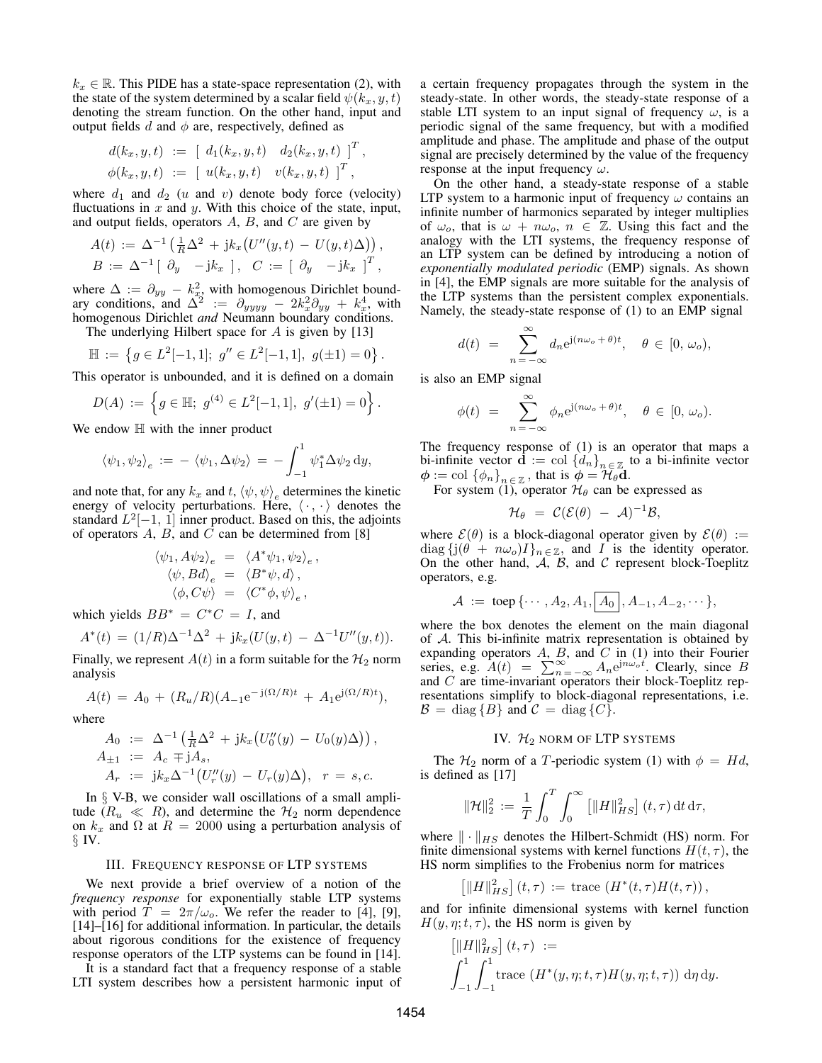$k<sub>x</sub> \in \mathbb{R}$ . This PIDE has a state-space representation (2), with the state of the system determined by a scalar field  $\psi(k_x, y, t)$ denoting the stream function. On the other hand, input and output fields d and  $\phi$  are, respectively, defined as

$$
d(k_x, y, t) := [d_1(k_x, y, t) d_2(k_x, y, t)]^T,
$$
  

$$
\phi(k_x, y, t) := [u(k_x, y, t) v(k_x, y, t)]^T,
$$

where  $d_1$  and  $d_2$  (u and v) denote body force (velocity) fluctuations in  $x$  and  $y$ . With this choice of the state, input, and output fields, operators  $A$ ,  $B$ , and  $C$  are given by

$$
A(t) := \Delta^{-1} \left( \frac{1}{R} \Delta^2 + j k_x \left( U''(y, t) - U(y, t) \Delta \right) \right),
$$
  
\n
$$
B := \Delta^{-1} \left[ \begin{array}{cc} \partial_y & -j k_x \end{array} \right], \quad C := \left[ \begin{array}{cc} \partial_y & -j k_x \end{array} \right]^T,
$$

where  $\Delta := \partial_{yy} - k_x^2$ , with homogenous Dirichlet boundary conditions, and  $\Delta^2 := \partial_{yyyy} - 2k_x^2 \partial_{yy} + k_x^4$ , with homogenous Dirichlet *and* Neumann boundary conditions.

The underlying Hilbert space for  $A$  is given by [13]

$$
\mathbb{H} := \left\{ g \in L^2[-1,1]; \ g'' \in L^2[-1,1], \ g(\pm 1) = 0 \right\}.
$$

This operator is unbounded, and it is defined on a domain

$$
D(A) := \left\{ g \in \mathbb{H}; \ g^{(4)} \in L^2[-1,1], \ g'(\pm 1) = 0 \right\}.
$$

We endow  $\mathbb H$  with the inner product

$$
\langle \psi_1, \psi_2 \rangle_e := - \langle \psi_1, \Delta \psi_2 \rangle = - \int_{-1}^1 \psi_1^* \Delta \psi_2 \, dy,
$$

and note that, for any  $k_x$  and t,  $\langle \psi, \psi \rangle_e$  determines the kinetic energy of velocity perturbations. Here,  $\langle \cdot, \cdot \rangle$  denotes the standard  $L^2[-1, 1]$  inner product. Based on this, the adjoints of operators  $A$ ,  $B$ , and  $C$  can be determined from [8]

$$
\langle \psi_1, A\psi_2 \rangle_e = \langle A^* \psi_1, \psi_2 \rangle_e,
$$
  

$$
\langle \psi, Bd \rangle_e = \langle B^* \psi, d \rangle,
$$
  

$$
\langle \phi, C\psi \rangle = \langle C^* \phi, \psi \rangle_e,
$$

which yields  $BB^* = C^*C = I$ , and

$$
A^*(t) = (1/R)\Delta^{-1}\Delta^2 + jk_x(U(y,t) - \Delta^{-1}U''(y,t)).
$$

Finally, we represent  $A(t)$  in a form suitable for the  $\mathcal{H}_2$  norm analysis

$$
A(t) = A_0 + (R_u/R)(A_{-1}e^{-j(\Omega/R)t} + A_1e^{j(\Omega/R)t}),
$$

where

$$
A_0 := \Delta^{-1} \left( \frac{1}{R} \Delta^2 + j k_x \left( U_0''(y) - U_0(y) \Delta \right) \right),
$$
  
\n
$$
A_{\pm 1} := A_c \mp j A_s,
$$
  
\n
$$
A_r := j k_x \Delta^{-1} \left( U_r''(y) - U_r(y) \Delta \right), \quad r = s, c.
$$

In  $\S$  V-B, we consider wall oscillations of a small amplitude ( $R_u \ll R$ ), and determine the  $H_2$  norm dependence on  $k_x$  and  $\Omega$  at  $R = 2000$  using a perturbation analysis of § IV.

### III. FREQUENCY RESPONSE OF LTP SYSTEMS

We next provide a brief overview of a notion of the *frequency response* for exponentially stable LTP systems with period  $\hat{T} = 2\pi/\omega_o$ . We refer the reader to [4], [9], [14]–[16] for additional information. In particular, the details about rigorous conditions for the existence of frequency response operators of the LTP systems can be found in [14].

It is a standard fact that a frequency response of a stable LTI system describes how a persistent harmonic input of a certain frequency propagates through the system in the steady-state. In other words, the steady-state response of a stable LTI system to an input signal of frequency  $\omega$ , is a periodic signal of the same frequency, but with a modified amplitude and phase. The amplitude and phase of the output signal are precisely determined by the value of the frequency response at the input frequency  $\omega$ .

On the other hand, a steady-state response of a stable LTP system to a harmonic input of frequency  $\omega$  contains an infinite number of harmonics separated by integer multiplies of  $\omega_o$ , that is  $\omega + n\omega_o$ ,  $n \in \mathbb{Z}$ . Using this fact and the analogy with the LTI systems, the frequency response of an LTP system can be defined by introducing a notion of *exponentially modulated periodic* (EMP) signals. As shown in [4], the EMP signals are more suitable for the analysis of the LTP systems than the persistent complex exponentials. Namely, the steady-state response of (1) to an EMP signal

$$
d(t) = \sum_{n=-\infty}^{\infty} d_n e^{j(n\omega_o + \theta)t}, \quad \theta \in [0, \omega_o),
$$

is also an EMP signal

$$
\phi(t) = \sum_{n=-\infty}^{\infty} \phi_n e^{j(n\omega_o + \theta)t}, \quad \theta \in [0, \omega_o).
$$

The frequency response of (1) is an operator that maps a bi-infinite vector  $\mathbf{d} := \text{col} \{d_n\}_{n \in \mathbb{Z}}$  to a bi-infinite vector  $\mathbf{d} := \text{col} \{d_n\}$   $\in \mathbb{Z}$  that is  $\mathbf{d} = \mathcal{H}_0 \mathbf{d}$  $\phi := \text{col } {\{\phi_n\}}_{n \in \mathbb{Z}}$ , that is  $\phi = \mathcal{H}_{\theta} \mathbf{d}$ .<br>For system (1), operator  $\mathcal{H}_{\theta}$  can be expressed as

$$
\mathcal{H}_{\theta} = \mathcal{C}(\mathcal{E}(\theta) - \mathcal{A})^{-1} \mathcal{B},
$$

where  $\mathcal{E}(\theta)$  is a block-diagonal operator given by  $\mathcal{E}(\theta) :=$ diag  $\{j(\theta + n\omega_o)I\}_{n \in \mathbb{Z}}$ , and I is the identity operator. On the other hand,  $A$ ,  $B$ , and  $C$  represent block-Toeplitz operators, e.g.

$$
A := \text{toep} \{ \cdots, A_2, A_1, \boxed{A_0}, A_{-1}, A_{-2}, \cdots \},
$$

where the box denotes the element on the main diagonal of A. This bi-infinite matrix representation is obtained by expanding operators A, B, and  $C$  in (1) into their Fourier series, e.g.  $A(t) = \sum_{n=-\infty}^{\infty} A_n e^{jn\omega_0 t}$ . Clearly, since B and C are time-invariant operators their block-Toeplitz representations simplify to block-diagonal representations, i.e.  $\mathcal{B} = \text{diag} \{ B \}$  and  $\mathcal{C} = \text{diag} \{ C \}.$ 

# IV.  $H_2$  norm of LTP systems

The  $\mathcal{H}_2$  norm of a T-periodic system (1) with  $\phi = Hd$ , is defined as [17]

$$
\|\mathcal{H}\|_{2}^{2} := \frac{1}{T} \int_{0}^{T} \int_{0}^{\infty} \left[ \|H\|_{HS}^{2} \right] (t, \tau) dt d\tau,
$$

where  $\|\cdot\|_{HS}$  denotes the Hilbert-Schmidt (HS) norm. For finite dimensional systems with kernel functions  $H(t, \tau)$ , the HS norm simplifies to the Frobenius norm for matrices

$$
\left[ \|H\|_{HS}^2 \right](t,\tau) \, := \, \text{trace} \, \left( H^*(t,\tau) H(t,\tau) \right),
$$

and for infinite dimensional systems with kernel function  $H(y, \eta; t, \tau)$ , the HS norm is given by

$$
\[\|H\|_{HS}^2\right](t,\tau) :=
$$
  

$$
\int_{-1}^1 \int_{-1}^1 \text{trace } (H^*(y,\eta;t,\tau)H(y,\eta;t,\tau)) \,d\eta \,d\eta.
$$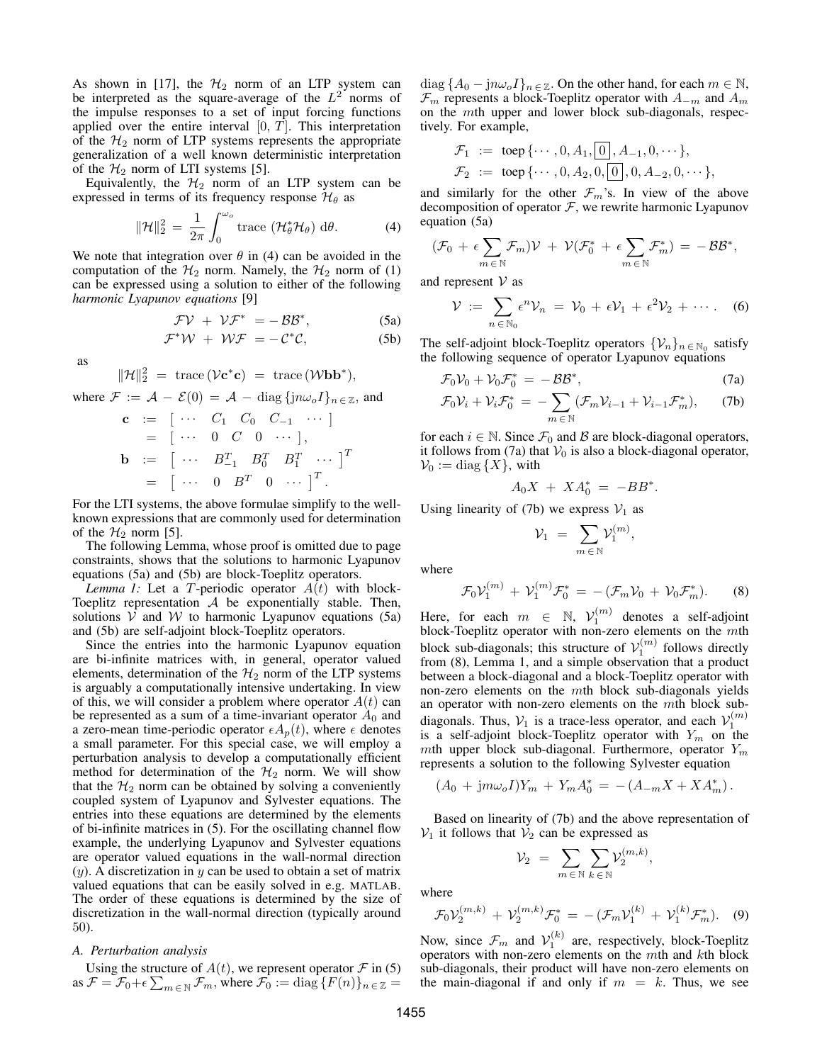As shown in [17], the  $H_2$  norm of an LTP system can be interpreted as the square-average of the  $L^2$  norms of the impulse responses to a set of input forcing functions applied over the entire interval  $[0, T]$ . This interpretation of the  $H_2$  norm of LTP systems represents the appropriate generalization of a well known deterministic interpretation of the  $H_2$  norm of LTI systems [5].

Equivalently, the  $H_2$  norm of an LTP system can be expressed in terms of its frequency response  $\mathcal{H}_{\theta}$  as

$$
\|\mathcal{H}\|_2^2 = \frac{1}{2\pi} \int_0^{\omega_o} \text{trace } (\mathcal{H}_\theta^* \mathcal{H}_\theta) \, d\theta. \tag{4}
$$

We note that integration over  $\theta$  in (4) can be avoided in the computation of the  $H_2$  norm. Namely, the  $H_2$  norm of (1) can be expressed using a solution to either of the following *harmonic Lyapunov equations* [9]

$$
\mathcal{F}\mathcal{V} + \mathcal{V}\mathcal{F}^* = -\mathcal{B}\mathcal{B}^*,
$$
 (5a)

$$
\mathcal{F}^*\mathcal{W} + \mathcal{W}\mathcal{F} = -\mathcal{C}^*\mathcal{C},\tag{5b}
$$

as

$$
||\mathcal{H}||_2^2 = \text{trace}(\mathcal{V} \mathbf{c}^* \mathbf{c}) = \text{trace}(\mathcal{W} \mathbf{b} \mathbf{b}^*),
$$

where  $\mathcal{F} := \mathcal{A} - \mathcal{E}(0) = \mathcal{A} - \text{diag}\{jn\omega_oI\}_{n \in \mathbb{Z}}$ , and

$$
\begin{array}{rcl}\n\mathbf{c} & := & [ \cdots & C_1 & C_0 & C_{-1} & \cdots ] \\
& = & [ \cdots & 0 & C & 0 & \cdots ], \\
\mathbf{b} & := & [ \cdots & B_{-1}^T & B_0^T & B_1^T & \cdots ]^T \\
& = & [ \cdots & 0 & B^T & 0 & \cdots ]^T.\n\end{array}
$$

For the LTI systems, the above formulae simplify to the wellknown expressions that are commonly used for determination of the  $\mathcal{H}_2$  norm [5].

The following Lemma, whose proof is omitted due to page constraints, shows that the solutions to harmonic Lyapunov equations (5a) and (5b) are block-Toeplitz operators.

*Lemma 1:* Let a T-periodic operator  $A(t)$  with block-Toeplitz representation  $A$  be exponentially stable. Then, solutions  $V$  and  $W$  to harmonic Lyapunov equations (5a) and (5b) are self-adjoint block-Toeplitz operators.

Since the entries into the harmonic Lyapunov equation are bi-infinite matrices with, in general, operator valued elements, determination of the  $H_2$  norm of the LTP systems is arguably a computationally intensive undertaking. In view of this, we will consider a problem where operator  $A(t)$  can be represented as a sum of a time-invariant operator  $A_0$  and a zero-mean time-periodic operator  $\epsilon A_p(t)$ , where  $\epsilon$  denotes a small parameter. For this special case, we will employ a perturbation analysis to develop a computationally efficient method for determination of the  $H_2$  norm. We will show that the  $H_2$  norm can be obtained by solving a conveniently coupled system of Lyapunov and Sylvester equations. The entries into these equations are determined by the elements of bi-infinite matrices in (5). For the oscillating channel flow example, the underlying Lyapunov and Sylvester equations are operator valued equations in the wall-normal direction  $(y)$ . A discretization in y can be used to obtain a set of matrix valued equations that can be easily solved in e.g. MATLAB. The order of these equations is determined by the size of discretization in the wall-normal direction (typically around 50).

## *A. Perturbation analysis*

Using the structure of  $A(t)$ , we represent operator  $\mathcal F$  in (5) as  $\mathcal{F} = \mathcal{F}_0 + \epsilon \sum_{m \in \mathbb{N}} \mathcal{F}_m$ , where  $\mathcal{F}_0 := \text{diag} \{ F(n) \}_{n \in \mathbb{Z}} =$ 

diag  $\{A_0 - \mathrm{j}n\omega_o I\}_{n \in \mathbb{Z}}$ . On the other hand, for each  $m \in \mathbb{N}$ ,  $\mathcal{F}_m$  represents a block-Toeplitz operator with  $A_{-m}$  and  $A_m$ on the mth upper and lower block sub-diagonals, respectively. For example,

$$
\mathcal{F}_1 := \text{toep} \{ \cdots, 0, A_1, [0], A_{-1}, 0, \cdots \},
$$
  

$$
\mathcal{F}_2 := \text{toep} \{ \cdots, 0, A_2, 0, [0], 0, A_{-2}, 0, \cdots \},
$$

and similarly for the other  $\mathcal{F}_m$ 's. In view of the above decomposition of operator  $F$ , we rewrite harmonic Lyapunov equation (5a)

$$
(\mathcal{F}_0 + \epsilon \sum_{m \in \mathbb{N}} \mathcal{F}_m) \mathcal{V} + \mathcal{V}(\mathcal{F}_0^* + \epsilon \sum_{m \in \mathbb{N}} \mathcal{F}_m^*) = -\mathcal{B} \mathcal{B}^*,
$$

and represent  $V$  as

$$
\mathcal{V} := \sum_{n \in \mathbb{N}_0} \epsilon^n \mathcal{V}_n = \mathcal{V}_0 + \epsilon \mathcal{V}_1 + \epsilon^2 \mathcal{V}_2 + \cdots. \quad (6)
$$

The self-adjoint block-Toeplitz operators  $\{\mathcal{V}_n\}_{n \in \mathbb{N}_0}$  satisfy the following sequence of operator Lyapunov equations

$$
\mathcal{F}_0 \mathcal{V}_0 + \mathcal{V}_0 \mathcal{F}_0^* = -\mathcal{B} \mathcal{B}^*,\tag{7a}
$$

$$
\mathcal{F}_0 \mathcal{V}_i + \mathcal{V}_i \mathcal{F}_0^* = -\sum_{m \in \mathbb{N}} (\mathcal{F}_m \mathcal{V}_{i-1} + \mathcal{V}_{i-1} \mathcal{F}_m^*), \qquad (7b)
$$

for each  $i \in \mathbb{N}$ . Since  $\mathcal{F}_0$  and  $\mathcal{B}$  are block-diagonal operators, it follows from (7a) that  $V_0$  is also a block-diagonal operator,  $\mathcal{V}_0 := \text{diag} \{X\}$ , with

$$
A_0 X + X A_0^* = - B B^*.
$$

Using linearity of (7b) we express  $V_1$  as

$$
\mathcal{V}_1 \ = \ \sum_{m \, \in \, \mathbb{N}} \mathcal{V}_1^{(m)},
$$

where

$$
\mathcal{F}_0 \mathcal{V}_1^{(m)} + \mathcal{V}_1^{(m)} \mathcal{F}_0^* = -(\mathcal{F}_m \mathcal{V}_0 + \mathcal{V}_0 \mathcal{F}_m^*).
$$
 (8)

Here, for each  $m \in \mathbb{N}$ ,  $\mathcal{V}_1^{(m)}$  denotes a self-adjoint block-Toeplitz operator with non-zero elements on the  $m$ th block sub-diagonals; this structure of  $V_1^{(m)}$  follows directly from (8), Lemma 1, and a simple observation that a product between a block-diagonal and a block-Toeplitz operator with non-zero elements on the mth block sub-diagonals yields an operator with non-zero elements on the mth block subdiagonals. Thus,  $V_1$  is a trace-less operator, and each  $V_1^{(m)}$ is a self-adjoint block-Toeplitz operator with  $Y_m$  on the mth upper block sub-diagonal. Furthermore, operator  $Y_m$ represents a solution to the following Sylvester equation

$$
(A_0 + jm\omega_o I)Y_m + Y_m A_0^* = -(A_{-m}X + X A_m^*).
$$

Based on linearity of (7b) and the above representation of  $V_1$  it follows that  $V_2$  can be expressed as

$$
\mathcal{V}_2 \ = \ \sum_{m \, \in \, \mathbb{N}} \sum_{k \, \in \, \mathbb{N}} \mathcal{V}_2^{(m,k)},
$$

where

$$
\mathcal{F}_0 \mathcal{V}_2^{(m,k)} + \mathcal{V}_2^{(m,k)} \mathcal{F}_0^* = -(\mathcal{F}_m \mathcal{V}_1^{(k)} + \mathcal{V}_1^{(k)} \mathcal{F}_m^*).
$$
 (9)

Now, since  $\mathcal{F}_m$  and  $\mathcal{V}_1^{(k)}$  are, respectively, block-Toeplitz operators with non-zero elements on the mth and kth block sub-diagonals, their product will have non-zero elements on the main-diagonal if and only if  $m = k$ . Thus, we see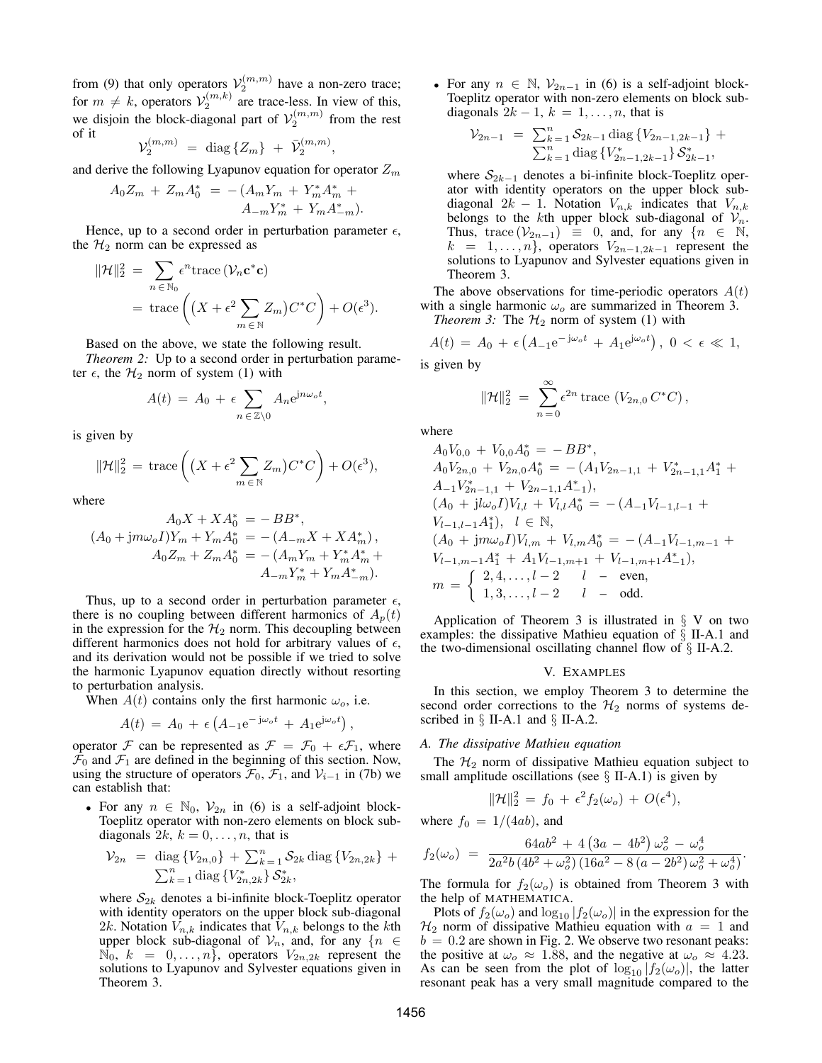from (9) that only operators  $\mathcal{V}_2^{(m,m)}$  have a non-zero trace; for  $m \neq k$ , operators  $V_2^{(m,k)}$  are trace-less. In view of this, we disjoin the block-diagonal part of  $\mathcal{V}_2^{(m,m)}$  from the rest of it

$$
\mathcal{V}_2^{(m,m)} \ = \ \text{diag}\left\{Z_m\right\} \ + \ \bar{\mathcal{V}}_2^{(m,m)},
$$

and derive the following Lyapunov equation for operator  $Z_m$ 

$$
A_0 Z_m + Z_m A_0^* = -(A_m Y_m + Y_m^* A_m^* + A_{-m} Y_m^* + Y_m A_{-m}^*).
$$

Hence, up to a second order in perturbation parameter  $\epsilon$ , the  $H_2$  norm can be expressed as

$$
\|\mathcal{H}\|_{2}^{2} = \sum_{n \in \mathbb{N}_{0}} \epsilon^{n} \text{trace} \left( \mathcal{V}_{n} \mathbf{c}^{*} \mathbf{c} \right)
$$
  
= trace  $\left( \left( X + \epsilon^{2} \sum_{m \in \mathbb{N}} Z_{m} \right) C^{*} C \right) + O(\epsilon^{3}).$ 

Based on the above, we state the following result.

*Theorem 2:* Up to a second order in perturbation parameter  $\epsilon$ , the  $\mathcal{H}_2$  norm of system (1) with

$$
A(t) = A_0 + \epsilon \sum_{n \in \mathbb{Z} \setminus 0} A_n e^{jn\omega_o t},
$$

is given by

$$
\|\mathcal{H}\|_2^2 = \operatorname{trace}\left( \left( X + \epsilon^2 \sum_{m \in \mathbb{N}} Z_m \right) C^* C \right) + O(\epsilon^3),
$$

 $\overline{A}$  X  $\overline{X}$  +  $\overline{X}$ 

where

$$
A_0X + XA_0^* = -BB^*,
$$
  
\n
$$
(A_0 + jm\omega_o I)Y_m + Y_mA_0^* = -(A_{-m}X + XA_m^*),
$$
  
\n
$$
A_0Z_m + Z_mA_0^* = -(A_mY_m + Y_m^*A_m^* + A_{-m}Y_m^*A_m^*).
$$

Thus, up to a second order in perturbation parameter  $\epsilon$ , there is no coupling between different harmonics of  $A_p(t)$ in the expression for the  $H_2$  norm. This decoupling between different harmonics does not hold for arbitrary values of  $\epsilon$ , and its derivation would not be possible if we tried to solve the harmonic Lyapunov equation directly without resorting to perturbation analysis.

When  $A(t)$  contains only the first harmonic  $\omega_o$ , i.e.

$$
A(t) = A_0 + \epsilon \left( A_{-1} e^{-j\omega_o t} + A_1 e^{j\omega_o t} \right),
$$

operator F can be represented as  $\mathcal{F} = \mathcal{F}_0 + \epsilon \mathcal{F}_1$ , where  $\mathcal{F}_0$  and  $\mathcal{F}_1$  are defined in the beginning of this section. Now, using the structure of operators  $\mathcal{F}_0$ ,  $\mathcal{F}_1$ , and  $\mathcal{V}_{i-1}$  in (7b) we can establish that:

• For any  $n \in \mathbb{N}_0$ ,  $\mathcal{V}_{2n}$  in (6) is a self-adjoint block-Toeplitz operator with non-zero elements on block subdiagonals  $2k$ ,  $k = 0, \ldots, n$ , that is

$$
\mathcal{V}_{2n} = \text{diag}\{V_{2n,0}\} + \sum_{k=1}^{n} \mathcal{S}_{2k} \text{diag}\{V_{2n,2k}\} + \sum_{k=1}^{n} \text{diag}\{V_{2n,2k}\} \mathcal{S}_{2k}^{*},
$$

where  $S_{2k}$  denotes a bi-infinite block-Toeplitz operator with identity operators on the upper block sub-diagonal 2k. Notation  $V_{n,k}$  indicates that  $V_{n,k}$  belongs to the kth upper block sub-diagonal of  $V_n$ , and, for any  $\{n \in \mathbb{N}\}$  $\mathbb{N}_0, k = 0, \ldots, n$ , operators  $V_{2n,2k}$  represent the solutions to Lyapunov and Sylvester equations given in Theorem 3.

• For any  $n \in \mathbb{N}$ ,  $\mathcal{V}_{2n-1}$  in (6) is a self-adjoint block-Toeplitz operator with non-zero elements on block subdiagonals  $2k - 1$ ,  $k = 1, \ldots, n$ , that is

$$
\mathcal{V}_{2n-1} = \sum_{k=1}^{n} \mathcal{S}_{2k-1} \operatorname{diag} \{ V_{2n-1,2k-1} \} + \sum_{k=1}^{n} \operatorname{diag} \{ V_{2n-1,2k-1}^* \} \mathcal{S}_{2k-1}^*,
$$

where  $S_{2k-1}$  denotes a bi-infinite block-Toeplitz operator with identity operators on the upper block subdiagonal  $2k - 1$ . Notation  $V_{n,k}$  indicates that  $V_{n,k}$ belongs to the kth upper block sub-diagonal of  $V_n$ . Thus, trace  $(\mathcal{V}_{2n-1}) \equiv 0$ , and, for any  $\{n \in \mathbb{N},$  $k = 1, \ldots, n$ , operators  $V_{2n-1,2k-1}$  represent the solutions to Lyapunov and Sylvester equations given in Theorem 3.

The above observations for time-periodic operators  $A(t)$ with a single harmonic  $\omega_o$  are summarized in Theorem 3.

*Theorem 3:* The  $H_2$  norm of system (1) with

$$
A(t) = A_0 + \epsilon \left( A_{-1} e^{-j\omega_o t} + A_1 e^{j\omega_o t} \right), \ 0 < \epsilon \ll 1,
$$

is given by

$$
\|\mathcal{H}\|_2^2 = \sum_{n=0}^{\infty} \epsilon^{2n} \operatorname{trace} (V_{2n,0} C^*C),
$$

where

$$
A_0V_{0,0} + V_{0,0}A_0^* = -BB^*,
$$
  
\n
$$
A_0V_{2n,0} + V_{2n,0}A_0^* = -(A_1V_{2n-1,1} + V_{2n-1,1}^*A_1^* + A_{-1}V_{2n-1,1}^* + V_{2n-1,1}A_{-1}^*),
$$
  
\n
$$
(A_0 + jl\omega_o I)V_{l,l} + V_{l,l}A_0^* = -(A_{-1}V_{l-1,l-1} + V_{l-1,l-1}A_1^*), l \in \mathbb{N},
$$
  
\n
$$
(A_0 + jm\omega_o I)V_{l,m} + V_{l,m}A_0^* = -(A_{-1}V_{l-1,m-1} + V_{l-1,m-1}A_1^* + A_1V_{l-1,m+1} + V_{l-1,m+1}A_{-1}^*),
$$
  
\n
$$
m = \begin{cases} 2, 4, \dots, l-2 & l \quad - \text{ even}, \\ 1, 3, \dots, l-2 & l \quad - \text{ odd}. \end{cases}
$$

Application of Theorem 3 is illustrated in  $\S$  V on two examples: the dissipative Mathieu equation of § II-A.1 and the two-dimensional oscillating channel flow of  $\S$  II-A.2.

#### V. EXAMPLES

In this section, we employ Theorem 3 to determine the second order corrections to the  $H_2$  norms of systems described in  $\S$  II-A.1 and  $\S$  II-A.2.

### *A. The dissipative Mathieu equation*

The  $H_2$  norm of dissipative Mathieu equation subject to small amplitude oscillations (see  $\S$  II-A.1) is given by

$$
\|\mathcal{H}\|_2^2 = f_0 + \epsilon^2 f_2(\omega_o) + O(\epsilon^4),
$$

where  $f_0 = 1/(4ab)$ , and

$$
f_2(\omega_o) = \frac{64ab^2 + 4(3a - 4b^2)\,\omega_o^2 - \omega_o^4}{2a^2b\,(4b^2 + \omega_o^2)\,(16a^2 - 8(a - 2b^2)\,\omega_o^2 + \omega_o^4)}.
$$

The formula for  $f_2(\omega_o)$  is obtained from Theorem 3 with the help of MATHEMATICA.

Plots of  $f_2(\omega_o)$  and  $\log_{10}|f_2(\omega_o)|$  in the expression for the  $\mathcal{H}_2$  norm of dissipative Mathieu equation with  $a = 1$  and  $b = 0.2$  are shown in Fig. 2. We observe two resonant peaks: the positive at  $\omega_o \approx 1.88$ , and the negative at  $\omega_o \approx 4.23$ . As can be seen from the plot of  $log_{10}|f_2(\omega_o)|$ , the latter resonant peak has a very small magnitude compared to the